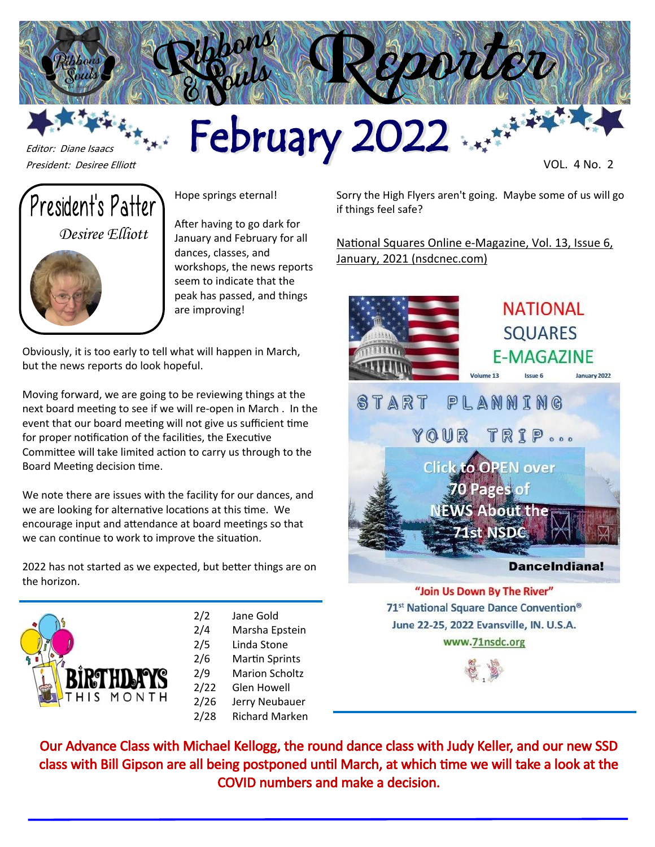

# Felitor: Diane Isaacs<br>President: Desiree Elliott



Editor: Diane Isaacs

Hope springs eternal!

After having to go dark for January and February for all dances, classes, and workshops, the news reports seem to indicate that the peak has passed, and things are improving!

Obviously, it is too early to tell what will happen in March, but the news reports do look hopeful.

Moving forward, we are going to be reviewing things at the next board meeting to see if we will re-open in March . In the event that our board meeting will not give us sufficient time for proper notification of the facilities, the Executive Committee will take limited action to carry us through to the Board Meeting decision time.

We note there are issues with the facility for our dances, and we are looking for alternative locations at this time. We encourage input and attendance at board meetings so that we can continue to work to improve the situation.

2022 has not started as we expected, but better things are on the horizon.



- 2/2 Jane Gold 2/4 Marsha Epstein 2/5 Linda Stone 2/6 Martin Sprints 2/9 Marion Scholtz
- 2/22 Glen Howell
- 2/26 Jerry Neubauer
- 2/28 Richard Marken

Sorry the High Flyers aren't going. Maybe some of us will go if things feel safe?

National Squares Online e-[Magazine, Vol. 13, Issue 6,](http://nsdcnec.com/flipdocs/NatSqOnline/Natsq0122/index.html)  [January, 2021 \(nsdcnec.com\)](http://nsdcnec.com/flipdocs/NatSqOnline/Natsq0122/index.html)



"Join Us Down By The River" 71<sup>st</sup> National Square Dance Convention<sup>®</sup> June 22-25, 2022 Evansville, IN. U.S.A. www.71nsdc.org



Our Advance Class with Michael Kellogg, the round dance class with Judy Keller, and our new SSD class with Bill Gipson are all being postponed until March, at which time we will take a look at the COVID numbers and make a decision.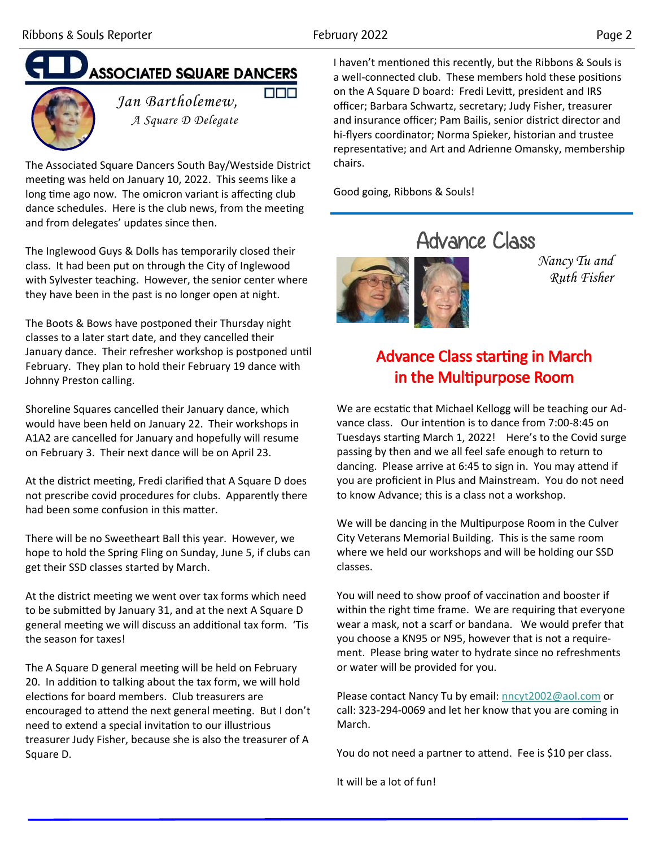**DDD** 

## **ASSOCIATED SQUARE DANCERS**



*Jan Bartholemew, A Square D Delegate*

The Associated Square Dancers South Bay/Westside District meeting was held on January 10, 2022. This seems like a long time ago now. The omicron variant is affecting club dance schedules. Here is the club news, from the meeting and from delegates' updates since then.

The Inglewood Guys & Dolls has temporarily closed their class. It had been put on through the City of Inglewood with Sylvester teaching. However, the senior center where they have been in the past is no longer open at night.

The Boots & Bows have postponed their Thursday night classes to a later start date, and they cancelled their January dance. Their refresher workshop is postponed until February. They plan to hold their February 19 dance with Johnny Preston calling.

Shoreline Squares cancelled their January dance, which would have been held on January 22. Their workshops in A1A2 are cancelled for January and hopefully will resume on February 3. Their next dance will be on April 23.

At the district meeting, Fredi clarified that A Square D does not prescribe covid procedures for clubs. Apparently there had been some confusion in this matter.

There will be no Sweetheart Ball this year. However, we hope to hold the Spring Fling on Sunday, June 5, if clubs can get their SSD classes started by March.

At the district meeting we went over tax forms which need to be submitted by January 31, and at the next A Square D general meeting we will discuss an additional tax form. 'Tis the season for taxes!

The A Square D general meeting will be held on February 20. In addition to talking about the tax form, we will hold elections for board members. Club treasurers are encouraged to attend the next general meeting. But I don't need to extend a special invitation to our illustrious treasurer Judy Fisher, because she is also the treasurer of A Square D.

I haven't mentioned this recently, but the Ribbons & Souls is a well-connected club. These members hold these positions on the A Square D board: Fredi Levitt, president and IRS officer; Barbara Schwartz, secretary; Judy Fisher, treasurer and insurance officer; Pam Bailis, senior district director and hi-flyers coordinator; Norma Spieker, historian and trustee representative; and Art and Adrienne Omansky, membership chairs.

Good going, Ribbons & Souls!



*Nancy Tu and Ruth Fisher*

### Advance Class starting in March in the Multipurpose Room

We are ecstatic that Michael Kellogg will be teaching our Advance class. Our intention is to dance from 7:00-8:45 on Tuesdays starting March 1, 2022! Here's to the Covid surge passing by then and we all feel safe enough to return to dancing. Please arrive at 6:45 to sign in. You may attend if you are proficient in Plus and Mainstream. You do not need to know Advance; this is a class not a workshop.

We will be dancing in the Multipurpose Room in the Culver City Veterans Memorial Building. This is the same room where we held our workshops and will be holding our SSD classes.

You will need to show proof of vaccination and booster if within the right time frame. We are requiring that everyone wear a mask, not a scarf or bandana. We would prefer that you choose a KN95 or N95, however that is not a requirement. Please bring water to hydrate since no refreshments or water will be provided for you.

Please contact Nancy Tu by email: [nncyt2002@aol.com](mailto:nncyt2002@aol.com) or call: 323-294-0069 and let her know that you are coming in March.

You do not need a partner to attend. Fee is \$10 per class.

It will be a lot of fun!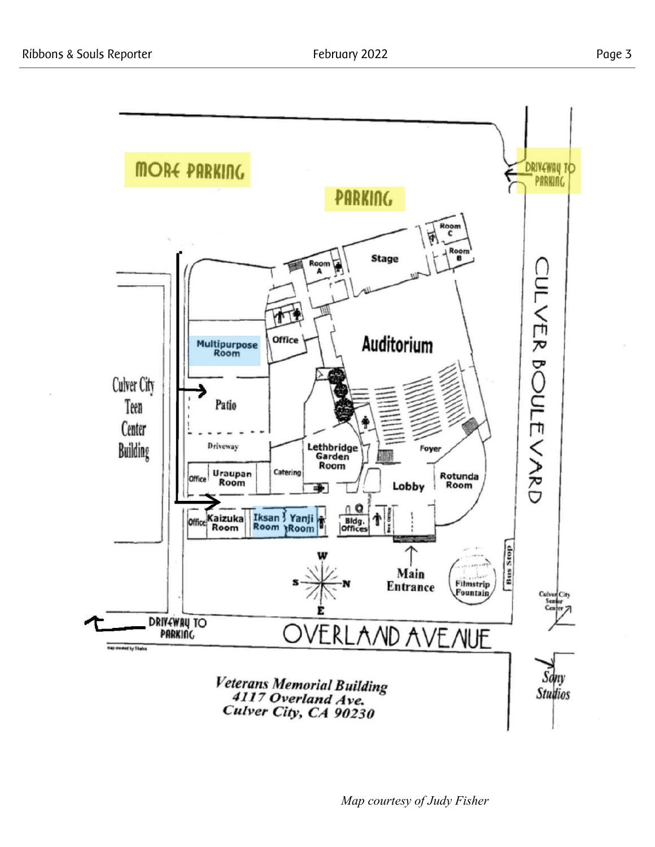

*Map courtesy of Judy Fisher*